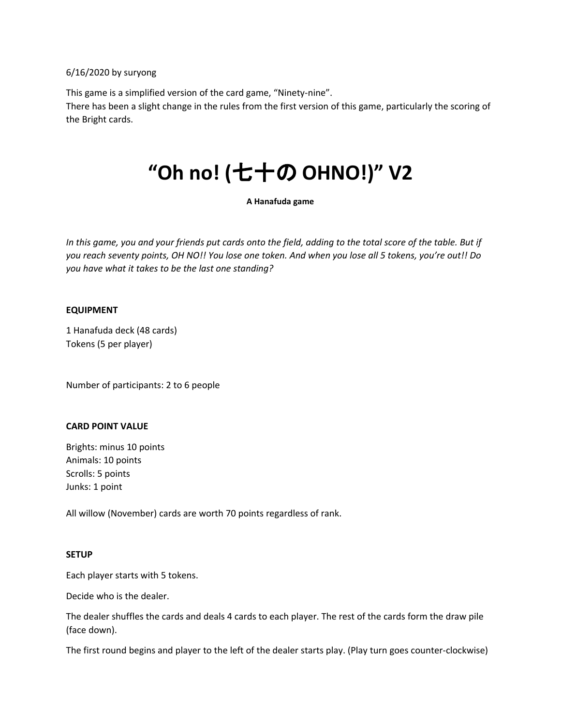6/16/2020 by suryong

This game is a simplified version of the card game, "Ninety-nine".

There has been a slight change in the rules from the first version of this game, particularly the scoring of the Bright cards.

# **"Oh no! (**七十の **OHNO!)" V2**

#### **A Hanafuda game**

*In this game, you and your friends put cards onto the field, adding to the total score of the table. But if you reach seventy points, OH NO!! You lose one token. And when you lose all 5 tokens, you're out!! Do you have what it takes to be the last one standing?*

#### **EQUIPMENT**

1 Hanafuda deck (48 cards) Tokens (5 per player)

Number of participants: 2 to 6 people

#### **CARD POINT VALUE**

Brights: minus 10 points Animals: 10 points Scrolls: 5 points Junks: 1 point

All willow (November) cards are worth 70 points regardless of rank.

#### **SETUP**

Each player starts with 5 tokens.

Decide who is the dealer.

The dealer shuffles the cards and deals 4 cards to each player. The rest of the cards form the draw pile (face down).

The first round begins and player to the left of the dealer starts play. (Play turn goes counter-clockwise)